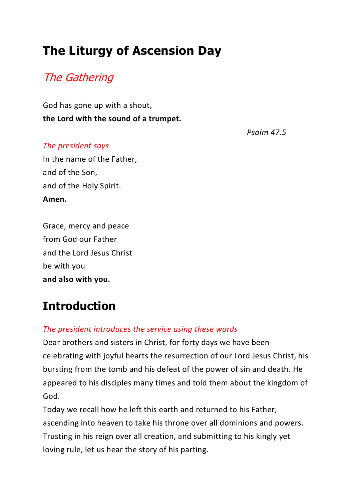# **The Liturgy of Ascension Day**

### The Gathering

God has gone up with a shout, **the Lord with the sound of a trumpet.**

*Psalm 47.5*

#### *The president says*

In the name of the Father, and of the Son, and of the Holy Spirit. **Amen.**

Grace, mercy and peace from God our Father and the Lord Jesus Christ be with you **and also with you.**

## **Introduction**

#### *The president introduces the service using these words*

Dear brothers and sisters in Christ, for forty days we have been celebrating with joyful hearts the resurrection of our Lord Jesus Christ, his bursting from the tomb and his defeat of the power of sin and death. He appeared to his disciples many times and told them about the kingdom of God.

Today we recall how he left this earth and returned to his Father, ascending into heaven to take his throne over all dominions and powers. Trusting in his reign over all creation, and submitting to his kingly yet loving rule, let us hear the story of his parting.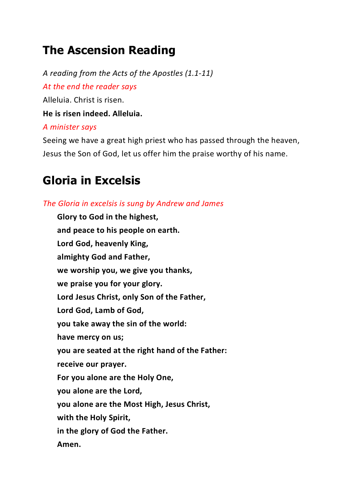## **The Ascension Reading**

*A reading from the Acts of the Apostles (1.1-11) At the end the reader says* Alleluia. Christ is risen. **He is risen indeed. Alleluia.** *A minister says* Seeing we have a great high priest who has passed through the heaven,

Jesus the Son of God, let us offer him the praise worthy of his name.

#### **Gloria in Excelsis**

*The Gloria in excelsis is sung by Andrew and James* **Glory to God in the highest, and peace to his people on earth. Lord God, heavenly King, almighty God and Father, we worship you, we give you thanks, we praise you for your glory. Lord Jesus Christ, only Son of the Father, Lord God, Lamb of God, you take away the sin of the world: have mercy on us; you are seated at the right hand of the Father: receive our prayer. For you alone are the Holy One, you alone are the Lord, you alone are the Most High, Jesus Christ, with the Holy Spirit, in the glory of God the Father. Amen.**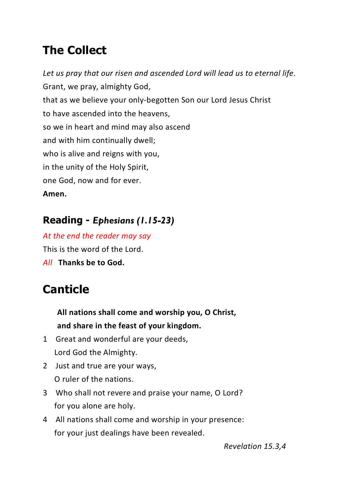# **The Collect**

*Let us pray that our risen and ascended Lord will lead us to eternal life.* Grant, we pray, almighty God, that as we believe your only-begotten Son our Lord Jesus Christ to have ascended into the heavens, so we in heart and mind may also ascend and with him continually dwell; who is alive and reigns with you, in the unity of the Holy Spirit, one God, now and for ever. **Amen.**

#### **Reading -** *Ephesians (1.15-23)*

*At the end the reader may say* This is the word of the Lord.

*All* **Thanks be to God.**

# **Canticle**

**All nations shall come and worship you, O Christ, and share in the feast of your kingdom.**

- 1 Great and wonderful are your deeds, Lord God the Almighty.
- 2 Just and true are your ways, O ruler of the nations.
- 3 Who shall not revere and praise your name, O Lord? for you alone are holy.
- 4 All nations shall come and worship in your presence: for your just dealings have been revealed.

*Revelation 15.3,4*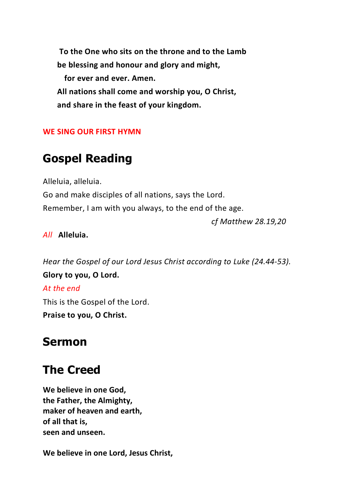**To the One who sits on the throne and to the Lamb be blessing and honour and glory and might, for ever and ever. Amen. All nations shall come and worship you, O Christ, and share in the feast of your kingdom.**

#### **WE SING OUR FIRST HYMN**

#### **Gospel Reading**

Alleluia, alleluia.

Go and make disciples of all nations, says the Lord. Remember, I am with you always, to the end of the age.

*cf Matthew 28.19,20*

#### *All* **Alleluia.**

*Hear the Gospel of our Lord Jesus Christ according to Luke (24.44-53).* **Glory to you, O Lord.** *At the end* This is the Gospel of the Lord. **Praise to you, O Christ.**

#### **Sermon**

#### **The Creed**

**We believe in one God, the Father, the Almighty, maker of heaven and earth, of all that is, seen and unseen.**

**We believe in one Lord, Jesus Christ,**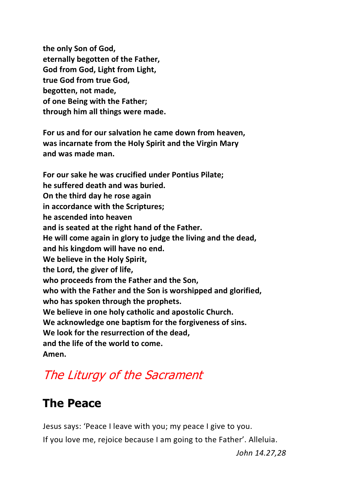**the only Son of God, eternally begotten of the Father, God from God, Light from Light, true God from true God, begotten, not made, of one Being with the Father; through him all things were made.**

**For us and for our salvation he came down from heaven, was incarnate from the Holy Spirit and the Virgin Mary and was made man.**

**For our sake he was crucified under Pontius Pilate; he suffered death and was buried. On the third day he rose again in accordance with the Scriptures; he ascended into heaven and is seated at the right hand of the Father. He will come again in glory to judge the living and the dead, and his kingdom will have no end. We believe in the Holy Spirit, the Lord, the giver of life, who proceeds from the Father and the Son, who with the Father and the Son is worshipped and glorified, who has spoken through the prophets. We believe in one holy catholic and apostolic Church. We acknowledge one baptism for the forgiveness of sins. We look for the resurrection of the dead, and the life of the world to come. Amen.**

# The Liturgy of the Sacrament

### **The Peace**

Jesus says: 'Peace I leave with you; my peace I give to you. If you love me, rejoice because I am going to the Father'. Alleluia.

*John 14.27,28*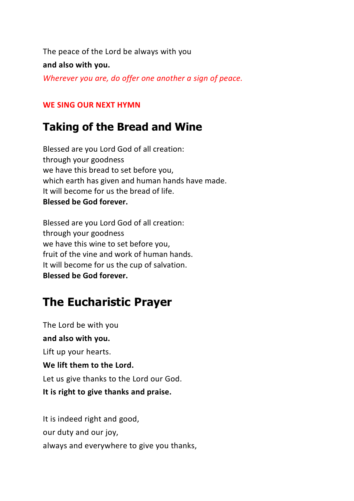The peace of the Lord be always with you

**and also with you.**

*Wherever you are, do offer one another a sign of peace.*

#### **WE SING OUR NEXT HYMN**

#### **Taking of the Bread and Wine**

Blessed are you Lord God of all creation: through your goodness we have this bread to set before you, which earth has given and human hands have made. It will become for us the bread of life. **Blessed be God forever.**

Blessed are you Lord God of all creation: through your goodness we have this wine to set before you, fruit of the vine and work of human hands. It will become for us the cup of salvation. **Blessed be God forever.**

## **The Eucharistic Prayer**

The Lord be with you **and also with you.** Lift up your hearts. **We lift them to the Lord.** Let us give thanks to the Lord our God. **It is right to give thanks and praise.**

It is indeed right and good, our duty and our joy, always and everywhere to give you thanks,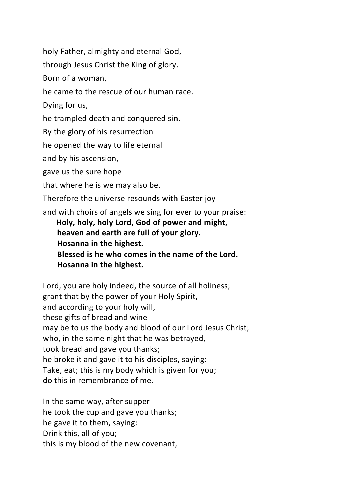holy Father, almighty and eternal God,

through Jesus Christ the King of glory.

Born of a woman,

he came to the rescue of our human race.

Dying for us,

he trampled death and conquered sin.

By the glory of his resurrection

he opened the way to life eternal

and by his ascension,

gave us the sure hope

that where he is we may also be.

Therefore the universe resounds with Easter joy

and with choirs of angels we sing for ever to your praise:

**Holy, holy, holy Lord, God of power and might, heaven and earth are full of your glory. Hosanna in the highest. Blessed is he who comes in the name of the Lord. Hosanna in the highest.**

Lord, you are holy indeed, the source of all holiness; grant that by the power of your Holy Spirit, and according to your holy will, these gifts of bread and wine may be to us the body and blood of our Lord Jesus Christ; who, in the same night that he was betrayed, took bread and gave you thanks; he broke it and gave it to his disciples, saying: Take, eat; this is my body which is given for you; do this in remembrance of me.

In the same way, after supper he took the cup and gave you thanks; he gave it to them, saying: Drink this, all of you; this is my blood of the new covenant,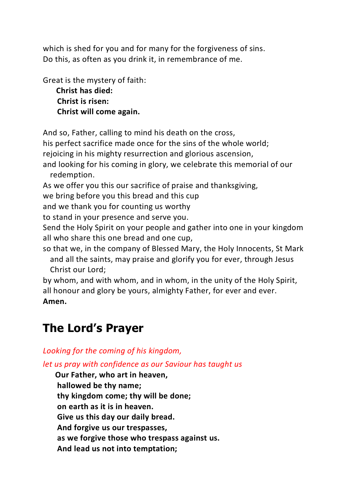which is shed for you and for many for the forgiveness of sins. Do this, as often as you drink it, in remembrance of me.

Great is the mystery of faith: **Christ has died: Christ is risen: Christ will come again.**

And so, Father, calling to mind his death on the cross,

his perfect sacrifice made once for the sins of the whole world;

rejoicing in his mighty resurrection and glorious ascension,

and looking for his coming in glory, we celebrate this memorial of our redemption.

As we offer you this our sacrifice of praise and thanksgiving,

we bring before you this bread and this cup

and we thank you for counting us worthy

to stand in your presence and serve you.

Send the Holy Spirit on your people and gather into one in your kingdom all who share this one bread and one cup,

so that we, in the company of Blessed Mary, the Holy Innocents, St Mark and all the saints, may praise and glorify you for ever, through Jesus Christ our Lord;

by whom, and with whom, and in whom, in the unity of the Holy Spirit, all honour and glory be yours, almighty Father, for ever and ever. **Amen.**

## **The Lord's Prayer**

*Looking for the coming of his kingdom,*

*let us pray with confidence as our Saviour has taught us*

**Our Father, who art in heaven, hallowed be thy name; thy kingdom come; thy will be done; on earth as it is in heaven. Give us this day our daily bread. And forgive us our trespasses, as we forgive those who trespass against us. And lead us not into temptation;**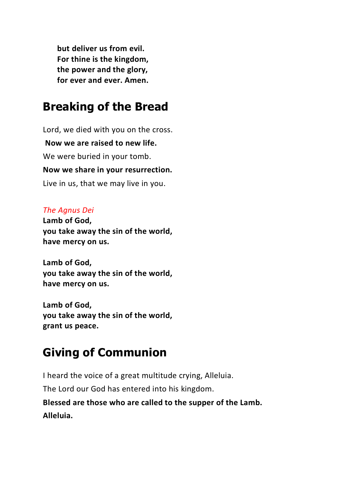**but deliver us from evil. For thine is the kingdom, the power and the glory, for ever and ever. Amen.**

### **Breaking of the Bread**

Lord, we died with you on the cross. **Now we are raised to new life.** We were buried in your tomb. **Now we share in your resurrection.** Live in us, that we may live in you.

#### *The Agnus Dei*

**Lamb of God, you take away the sin of the world, have mercy on us.**

**Lamb of God, you take away the sin of the world, have mercy on us.**

**Lamb of God, you take away the sin of the world, grant us peace.**

# **Giving of Communion**

I heard the voice of a great multitude crying, Alleluia. The Lord our God has entered into his kingdom. **Blessed are those who are called to the supper of the Lamb. Alleluia.**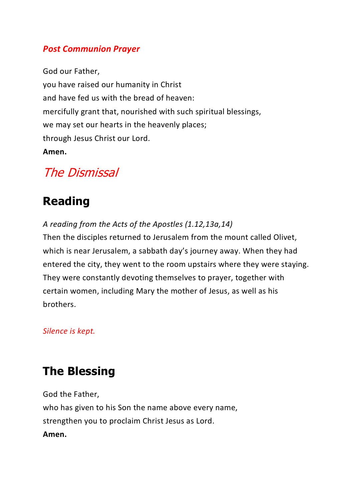#### *Post Communion Prayer*

God our Father, you have raised our humanity in Christ and have fed us with the bread of heaven: mercifully grant that, nourished with such spiritual blessings, we may set our hearts in the heavenly places; through Jesus Christ our Lord. **Amen.**

### The Dismissal

### **Reading**

*A reading from the Acts of the Apostles (1.12,13a,14)* Then the disciples returned to Jerusalem from the mount called Olivet, which is near Jerusalem, a sabbath day's journey away. When they had entered the city, they went to the room upstairs where they were staying. They were constantly devoting themselves to prayer, together with certain women, including Mary the mother of Jesus, as well as his brothers.

#### *Silence is kept.*

### **The Blessing**

God the Father, who has given to his Son the name above every name, strengthen you to proclaim Christ Jesus as Lord. **Amen.**